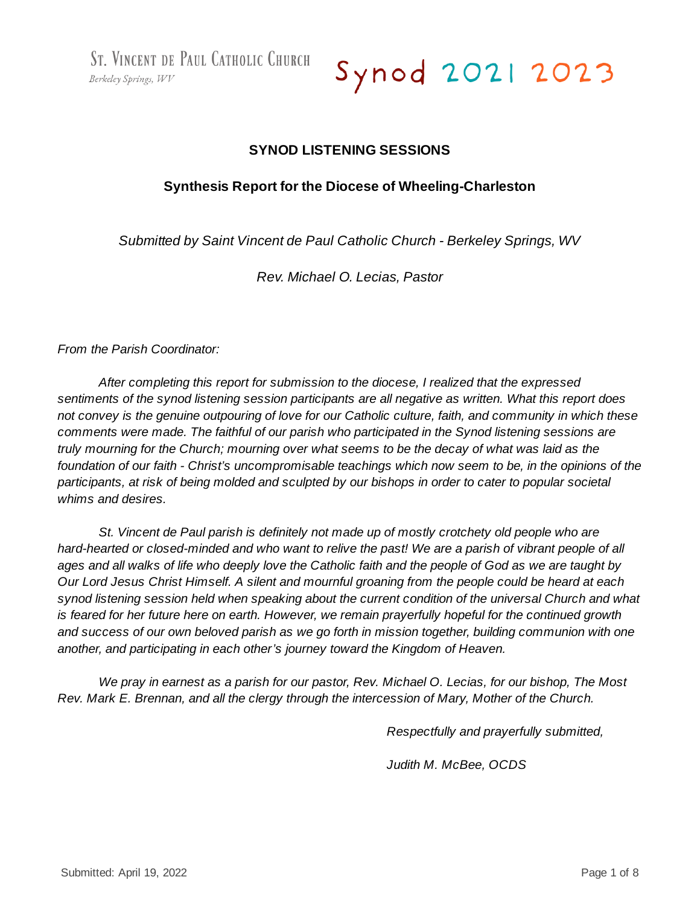ST. VINCENT DE PAUL CATHOLIC CHURCH Berkeley Springs, WV

Synod 2021 2023

# **SYNOD LISTENING SESSIONS**

### **Synthesis Report for the Diocese of Wheeling-Charleston**

*Submitted by Saint Vincent de Paul Catholic Church - Berkeley Springs, WV*

*Rev. Michael O. Lecias, Pastor*

*From the Parish Coordinator:*

*After completing this report for submission to the diocese, I realized that the expressed sentiments of the synod listening session participants are all negative as written. What this report does* not convey is the genuine outpouring of love for our Catholic culture, faith, and community in which these *comments were made. The faithful of our parish who participated in the Synod listening sessions are* truly mourning for the Church; mourning over what seems to be the decay of what was laid as the foundation of our faith - Christ's uncompromisable teachings which now seem to be, in the opinions of the participants, at risk of being molded and sculpted by our bishops in order to cater to popular societal *whims and desires.*

*St. Vincent de Paul parish is definitely not made up of mostly crotchety old people who are* hard-hearted or closed-minded and who want to relive the past! We are a parish of vibrant people of all ages and all walks of life who deeply love the Catholic faith and the people of God as we are taught by Our Lord Jesus Christ Himself. A silent and mournful groaning from the people could be heard at each *synod listening session held when speaking about the current condition of the universal Church and what is feared for her future here on earth. However, we remain prayerfully hopeful for the continued growth* and success of our own beloved parish as we go forth in mission together, building communion with one *another, and participating in each other's journey toward the Kingdom of Heaven.*

We pray in earnest as a parish for our pastor, Rev. Michael O. Lecias, for our bishop, The Most *Rev. Mark E. Brennan, and all the clergy through the intercession of Mary, Mother of the Church.*

*Respectfully and prayerfully submitted,*

*Judith M. McBee, OCDS*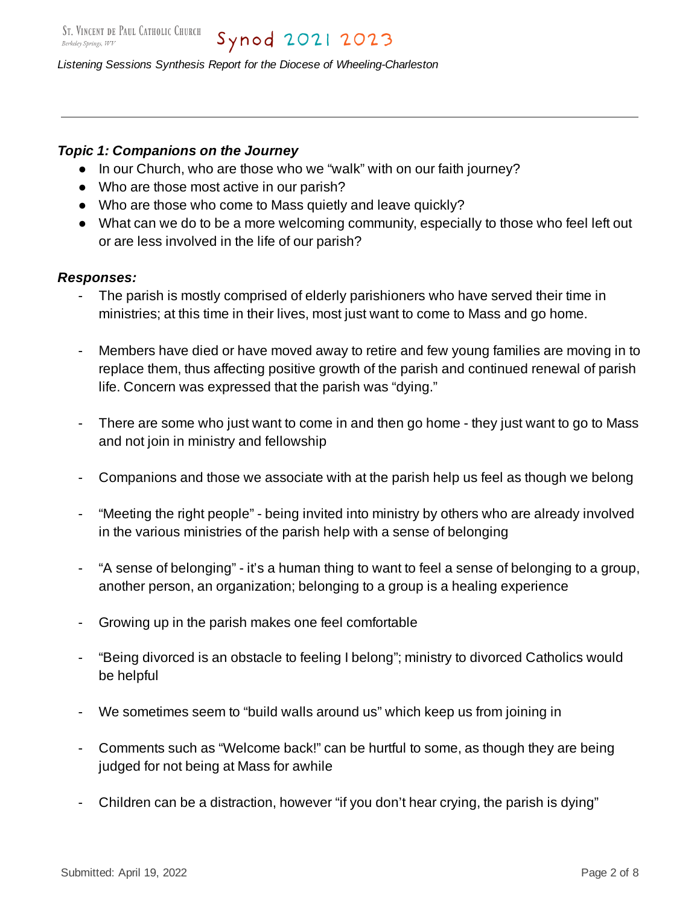# *Topic 1: Companions on the Journey*

- In our Church, who are those who we "walk" with on our faith journey?
- Who are those most active in our parish?
- Who are those who come to Mass quietly and leave quickly?
- What can we do to be a more welcoming community, especially to those who feel left out or are less involved in the life of our parish?

### *Responses:*

- The parish is mostly comprised of elderly parishioners who have served their time in ministries; at this time in their lives, most just want to come to Mass and go home.
- Members have died or have moved away to retire and few young families are moving in to replace them, thus affecting positive growth of the parish and continued renewal of parish life. Concern was expressed that the parish was "dying."
- There are some who just want to come in and then go home they just want to go to Mass and not join in ministry and fellowship
- Companions and those we associate with at the parish help us feel as though we belong
- "Meeting the right people" being invited into ministry by others who are already involved in the various ministries of the parish help with a sense of belonging
- "A sense of belonging" it's a human thing to want to feel a sense of belonging to a group, another person, an organization; belonging to a group is a healing experience
- Growing up in the parish makes one feel comfortable
- "Being divorced is an obstacle to feeling I belong"; ministry to divorced Catholics would be helpful
- We sometimes seem to "build walls around us" which keep us from joining in
- Comments such as "Welcome back!" can be hurtful to some, as though they are being judged for not being at Mass for awhile
- Children can be a distraction, however "if you don't hear crying, the parish is dying"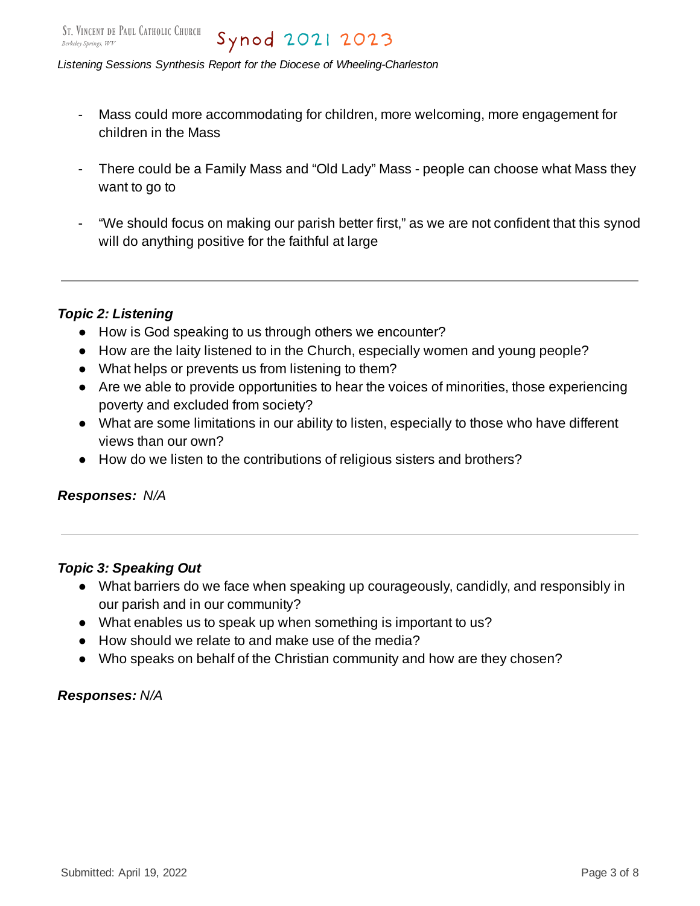- Mass could more accommodating for children, more welcoming, more engagement for children in the Mass
- There could be a Family Mass and "Old Lady" Mass people can choose what Mass they want to go to
- "We should focus on making our parish better first," as we are not confident that this synod will do anything positive for the faithful at large

# *Topic 2: Listening*

- How is God speaking to us through others we encounter?
- How are the laity listened to in the Church, especially women and young people?
- What helps or prevents us from listening to them?
- Are we able to provide opportunities to hear the voices of minorities, those experiencing poverty and excluded from society?
- What are some limitations in our ability to listen, especially to those who have different views than our own?
- How do we listen to the contributions of religious sisters and brothers?

### *Responses: N/A*

# *Topic 3: Speaking Out*

- What barriers do we face when speaking up courageously, candidly, and responsibly in our parish and in our community?
- What enables us to speak up when something is important to us?
- How should we relate to and make use of the media?
- Who speaks on behalf of the Christian community and how are they chosen?

# *Responses: N/A*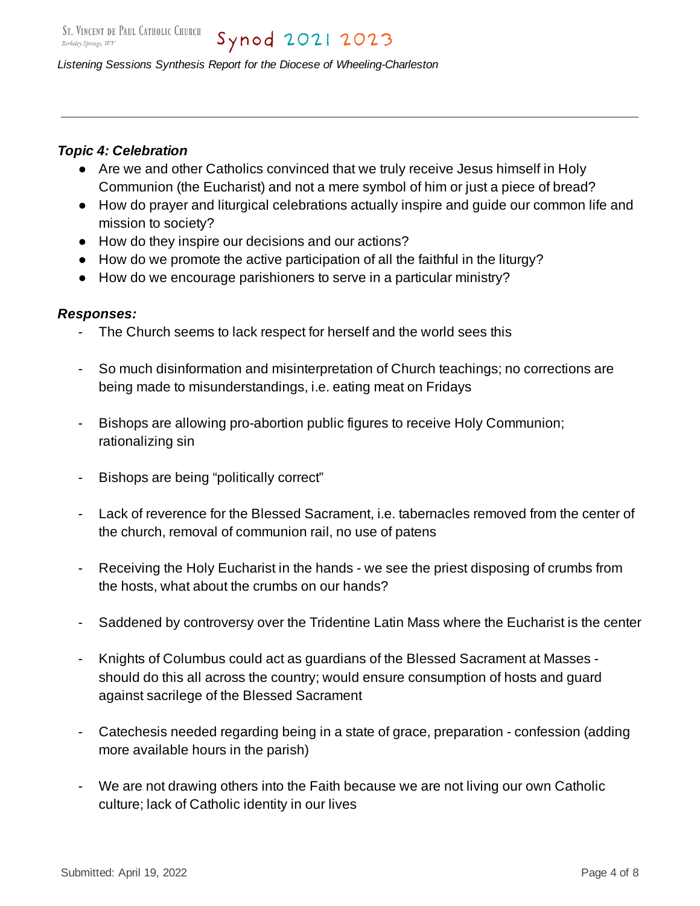# *Topic 4: Celebration*

- Are we and other Catholics convinced that we truly receive Jesus himself in Holy Communion (the Eucharist) and not a mere symbol of him or just a piece of bread?
- How do prayer and liturgical celebrations actually inspire and guide our common life and mission to society?
- How do they inspire our decisions and our actions?
- How do we promote the active participation of all the faithful in the liturgy?
- How do we encourage parishioners to serve in a particular ministry?

# *Responses:*

- The Church seems to lack respect for herself and the world sees this
- So much disinformation and misinterpretation of Church teachings; no corrections are being made to misunderstandings, i.e. eating meat on Fridays
- Bishops are allowing pro-abortion public figures to receive Holy Communion; rationalizing sin
- Bishops are being "politically correct"
- Lack of reverence for the Blessed Sacrament, i.e. tabernacles removed from the center of the church, removal of communion rail, no use of patens
- Receiving the Holy Eucharist in the hands we see the priest disposing of crumbs from the hosts, what about the crumbs on our hands?
- Saddened by controversy over the Tridentine Latin Mass where the Eucharist is the center
- Knights of Columbus could act as guardians of the Blessed Sacrament at Masses should do this all across the country; would ensure consumption of hosts and guard against sacrilege of the Blessed Sacrament
- Catechesis needed regarding being in a state of grace, preparation confession (adding more available hours in the parish)
- We are not drawing others into the Faith because we are not living our own Catholic culture; lack of Catholic identity in our lives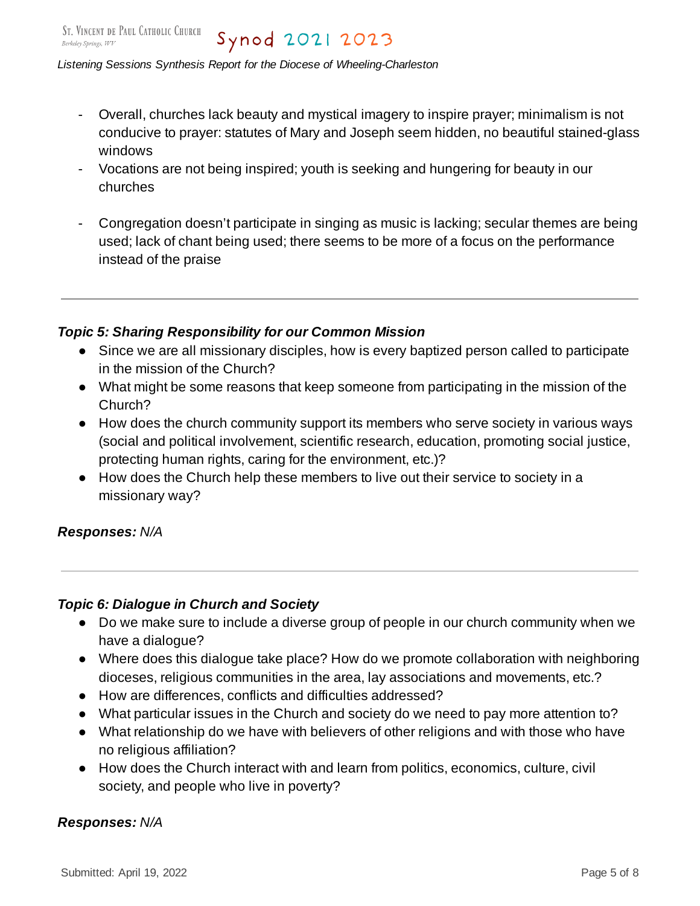- Overall, churches lack beauty and mystical imagery to inspire prayer; minimalism is not conducive to prayer: statutes of Mary and Joseph seem hidden, no beautiful stained-glass windows
- Vocations are not being inspired; youth is seeking and hungering for beauty in our churches
- Congregation doesn't participate in singing as music is lacking; secular themes are being used; lack of chant being used; there seems to be more of a focus on the performance instead of the praise

# *Topic 5: Sharing Responsibility for our Common Mission*

- Since we are all missionary disciples, how is every baptized person called to participate in the mission of the Church?
- What might be some reasons that keep someone from participating in the mission of the Church?
- How does the church community support its members who serve society in various ways (social and political involvement, scientific research, education, promoting social justice, protecting human rights, caring for the environment, etc.)?
- How does the Church help these members to live out their service to society in a missionary way?

# *Responses: N/A*

# *Topic 6: Dialogue in Church and Society*

- Do we make sure to include a diverse group of people in our church community when we have a dialogue?
- Where does this dialogue take place? How do we promote collaboration with neighboring dioceses, religious communities in the area, lay associations and movements, etc.?
- How are differences, conflicts and difficulties addressed?
- What particular issues in the Church and society do we need to pay more attention to?
- What relationship do we have with believers of other religions and with those who have no religious affiliation?
- How does the Church interact with and learn from politics, economics, culture, civil society, and people who live in poverty?

### *Responses: N/A*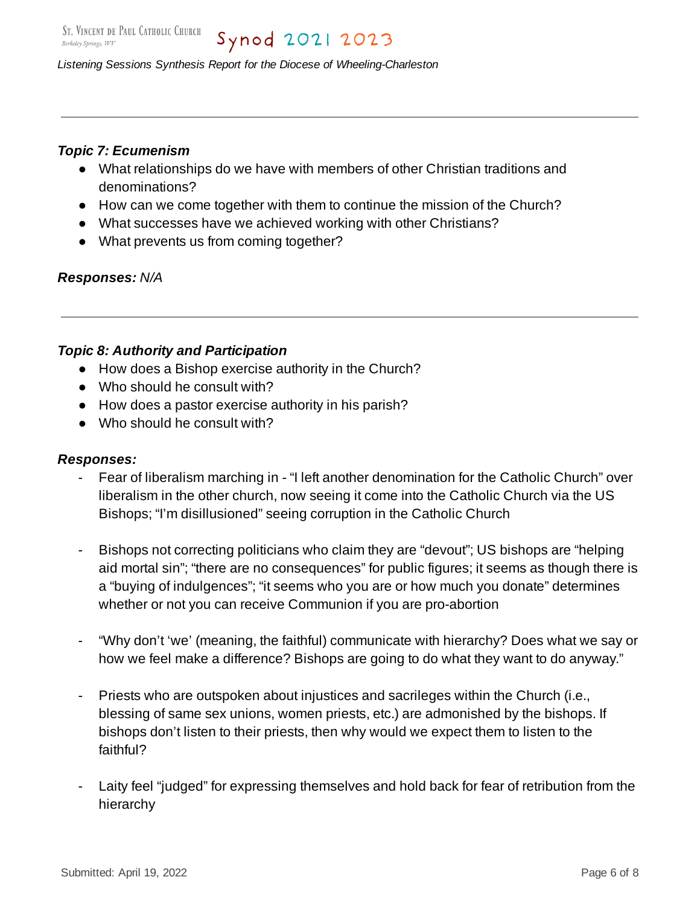### *Topic 7: Ecumenism*

- What relationships do we have with members of other Christian traditions and denominations?
- How can we come together with them to continue the mission of the Church?
- What successes have we achieved working with other Christians?
- What prevents us from coming together?

#### *Responses: N/A*

#### *Topic 8: Authority and Participation*

- How does a Bishop exercise authority in the Church?
- Who should he consult with?
- How does a pastor exercise authority in his parish?
- Who should he consult with?

#### *Responses:*

- Fear of liberalism marching in "I left another denomination for the Catholic Church" over liberalism in the other church, now seeing it come into the Catholic Church via the US Bishops; "I'm disillusioned" seeing corruption in the Catholic Church
- Bishops not correcting politicians who claim they are "devout"; US bishops are "helping aid mortal sin"; "there are no consequences" for public figures; it seems as though there is a "buying of indulgences"; "it seems who you are or how much you donate" determines whether or not you can receive Communion if you are pro-abortion
- "Why don't 'we' (meaning, the faithful) communicate with hierarchy? Does what we say or how we feel make a difference? Bishops are going to do what they want to do anyway."
- Priests who are outspoken about injustices and sacrileges within the Church (i.e., blessing of same sex unions, women priests, etc.) are admonished by the bishops. If bishops don't listen to their priests, then why would we expect them to listen to the faithful?
- Laity feel "judged" for expressing themselves and hold back for fear of retribution from the hierarchy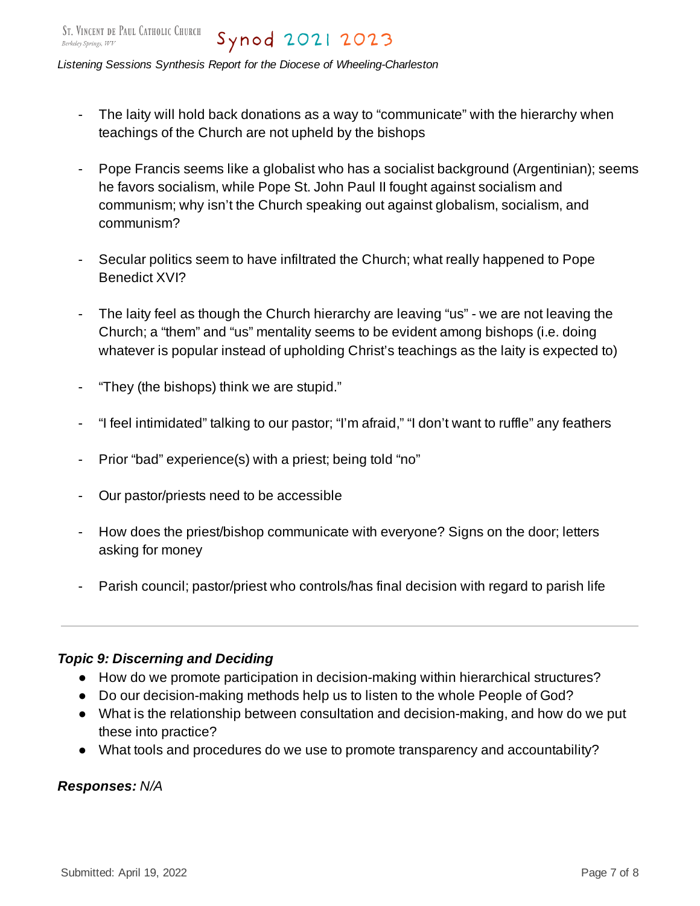- The laity will hold back donations as a way to "communicate" with the hierarchy when teachings of the Church are not upheld by the bishops
- Pope Francis seems like a globalist who has a socialist background (Argentinian); seems he favors socialism, while Pope St. John Paul II fought against socialism and communism; why isn't the Church speaking out against globalism, socialism, and communism?
- Secular politics seem to have infiltrated the Church; what really happened to Pope Benedict XVI?
- The laity feel as though the Church hierarchy are leaving "us" we are not leaving the Church; a "them" and "us" mentality seems to be evident among bishops (i.e. doing whatever is popular instead of upholding Christ's teachings as the laity is expected to)
- "They (the bishops) think we are stupid."
- "I feel intimidated" talking to our pastor; "I'm afraid," "I don't want to ruffle" any feathers
- Prior "bad" experience(s) with a priest; being told "no"
- Our pastor/priests need to be accessible
- How does the priest/bishop communicate with everyone? Signs on the door; letters asking for money
- Parish council; pastor/priest who controls/has final decision with regard to parish life

### *Topic 9: Discerning and Deciding*

- How do we promote participation in decision-making within hierarchical structures?
- Do our decision-making methods help us to listen to the whole People of God?
- What is the relationship between consultation and decision-making, and how do we put these into practice?
- What tools and procedures do we use to promote transparency and accountability?

*Responses: N/A*